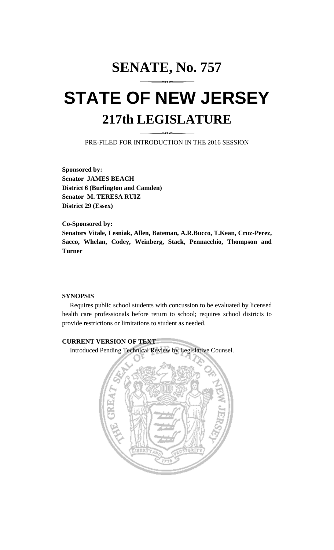## **SENATE, No. 757**

# **STATE OF NEW JERSEY 217th LEGISLATURE**

PRE-FILED FOR INTRODUCTION IN THE 2016 SESSION

**Sponsored by: Senator JAMES BEACH District 6 (Burlington and Camden) Senator M. TERESA RUIZ District 29 (Essex)**

**Co-Sponsored by: Senators Vitale, Lesniak, Allen, Bateman, A.R.Bucco, T.Kean, Cruz-Perez, Sacco, Whelan, Codey, Weinberg, Stack, Pennacchio, Thompson and Turner**

### **SYNOPSIS**

Requires public school students with concussion to be evaluated by licensed health care professionals before return to school; requires school districts to provide restrictions or limitations to student as needed.

### **CURRENT VERSION OF TEXT**

Introduced Pending Technical Review by Legislative Counsel.

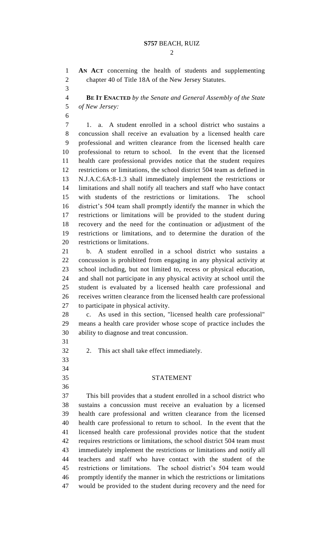**AN ACT** concerning the health of students and supplementing chapter 40 of Title 18A of the New Jersey Statutes.

 **BE IT ENACTED** *by the Senate and General Assembly of the State of New Jersey:*

 1. a. A student enrolled in a school district who sustains a concussion shall receive an evaluation by a licensed health care professional and written clearance from the licensed health care professional to return to school. In the event that the licensed health care professional provides notice that the student requires restrictions or limitations, the school district 504 team as defined in N.J.A.C.6A:8-1.3 shall immediately implement the restrictions or limitations and shall notify all teachers and staff who have contact with students of the restrictions or limitations. The school district's 504 team shall promptly identify the manner in which the restrictions or limitations will be provided to the student during recovery and the need for the continuation or adjustment of the restrictions or limitations, and to determine the duration of the restrictions or limitations.

 b. A student enrolled in a school district who sustains a concussion is prohibited from engaging in any physical activity at school including, but not limited to, recess or physical education, and shall not participate in any physical activity at school until the student is evaluated by a licensed health care professional and receives written clearance from the licensed health care professional to participate in physical activity.

 c. As used in this section, "licensed health care professional" means a health care provider whose scope of practice includes the ability to diagnose and treat concussion.

- 2. This act shall take effect immediately.
- 
- 
- 

#### STATEMENT

 This bill provides that a student enrolled in a school district who sustains a concussion must receive an evaluation by a licensed health care professional and written clearance from the licensed health care professional to return to school. In the event that the licensed health care professional provides notice that the student requires restrictions or limitations, the school district 504 team must immediately implement the restrictions or limitations and notify all teachers and staff who have contact with the student of the restrictions or limitations. The school district's 504 team would promptly identify the manner in which the restrictions or limitations would be provided to the student during recovery and the need for